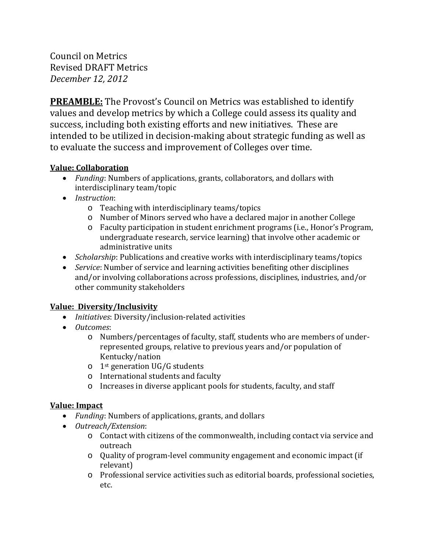Council on Metrics Revised DRAFT Metrics *December 12, 2012*

**PREAMBLE:** The Provost's Council on Metrics was established to identify values and develop metrics by which a College could assess its quality and success, including both existing efforts and new initiatives. These are intended to be utilized in decision-making about strategic funding as well as to evaluate the success and improvement of Colleges over time.

## **Value: Collaboration**

- *Funding*: Numbers of applications, grants, collaborators, and dollars with interdisciplinary team/topic
- *Instruction*:
	- o Teaching with interdisciplinary teams/topics
	- o Number of Minors served who have a declared major in another College
	- o Faculty participation in student enrichment programs (i.e., Honor's Program, undergraduate research, service learning) that involve other academic or administrative units
- *Scholarship*: Publications and creative works with interdisciplinary teams/topics
- *Service*: Number of service and learning activities benefiting other disciplines and/or involving collaborations across professions, disciplines, industries, and/or other community stakeholders

## **Value: Diversity/Inclusivity**

- *Initiatives*: Diversity/inclusion-related activities
- *Outcomes*:
	- o Numbers/percentages of faculty, staff, students who are members of underrepresented groups, relative to previous years and/or population of Kentucky/nation
	- $\circ$  1<sup>st</sup> generation UG/G students
	- o International students and faculty
	- o Increases in diverse applicant pools for students, faculty, and staff

## **Value: Impact**

- *Funding*: Numbers of applications, grants, and dollars
- *Outreach/Extension*:
	- o Contact with citizens of the commonwealth, including contact via service and outreach
	- o Quality of program-level community engagement and economic impact (if relevant)
	- o Professional service activities such as editorial boards, professional societies, etc.